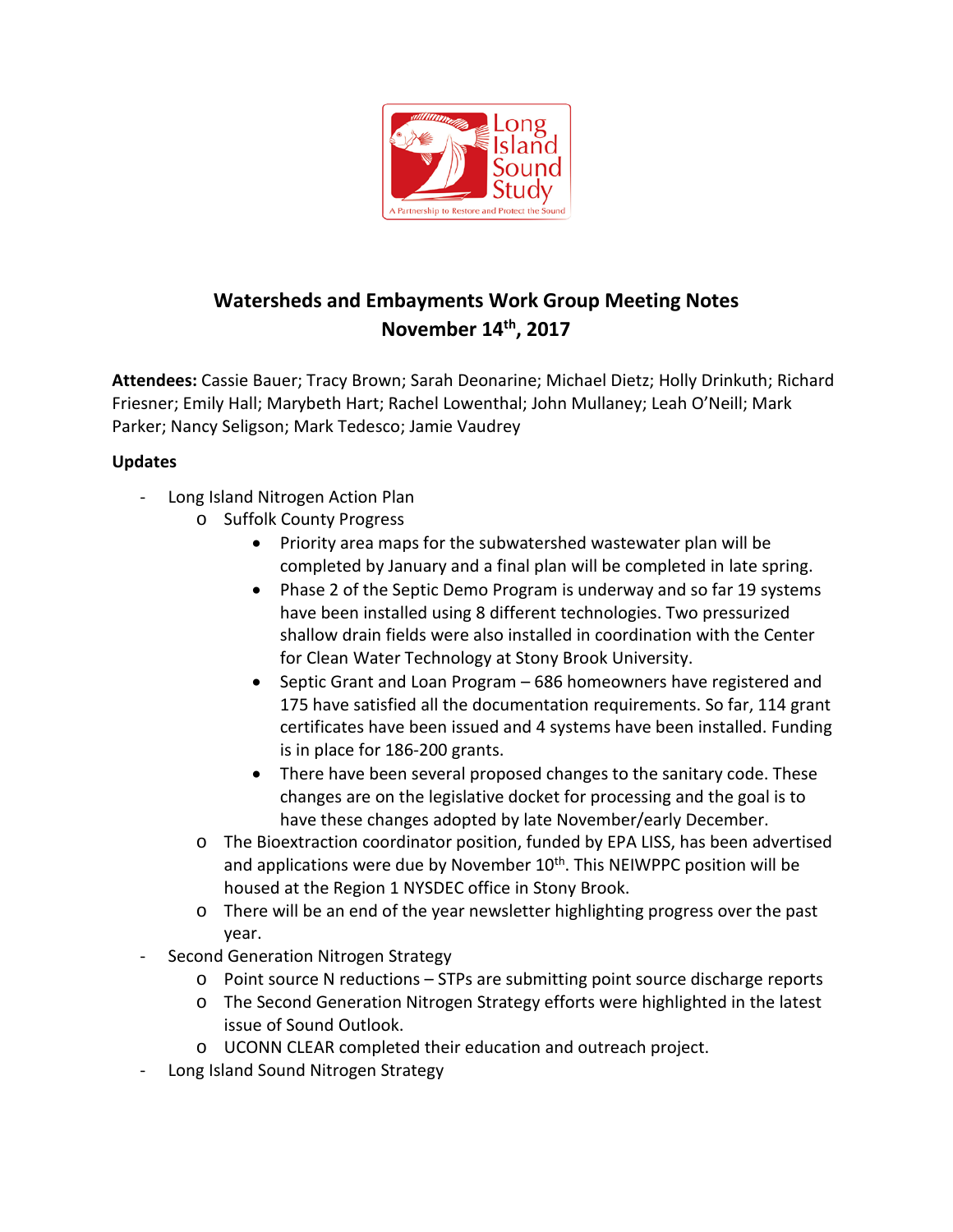

# **Watersheds and Embayments Work Group Meeting Notes November 14th, 2017**

**Attendees:** Cassie Bauer; Tracy Brown; Sarah Deonarine; Michael Dietz; Holly Drinkuth; Richard Friesner; Emily Hall; Marybeth Hart; Rachel Lowenthal; John Mullaney; Leah O'Neill; Mark Parker; Nancy Seligson; Mark Tedesco; Jamie Vaudrey

## **Updates**

- Long Island Nitrogen Action Plan
	- o Suffolk County Progress
		- Priority area maps for the subwatershed wastewater plan will be completed by January and a final plan will be completed in late spring.
		- Phase 2 of the Septic Demo Program is underway and so far 19 systems have been installed using 8 different technologies. Two pressurized shallow drain fields were also installed in coordination with the Center for Clean Water Technology at Stony Brook University.
		- Septic Grant and Loan Program 686 homeowners have registered and 175 have satisfied all the documentation requirements. So far, 114 grant certificates have been issued and 4 systems have been installed. Funding is in place for 186-200 grants.
		- There have been several proposed changes to the sanitary code. These changes are on the legislative docket for processing and the goal is to have these changes adopted by late November/early December.
	- o The Bioextraction coordinator position, funded by EPA LISS, has been advertised and applications were due by November  $10<sup>th</sup>$ . This NEIWPPC position will be housed at the Region 1 NYSDEC office in Stony Brook.
	- o There will be an end of the year newsletter highlighting progress over the past year.
- Second Generation Nitrogen Strategy
	- o Point source N reductions STPs are submitting point source discharge reports
	- o The Second Generation Nitrogen Strategy efforts were highlighted in the latest issue of Sound Outlook.
	- o UCONN CLEAR completed their education and outreach project.
- Long Island Sound Nitrogen Strategy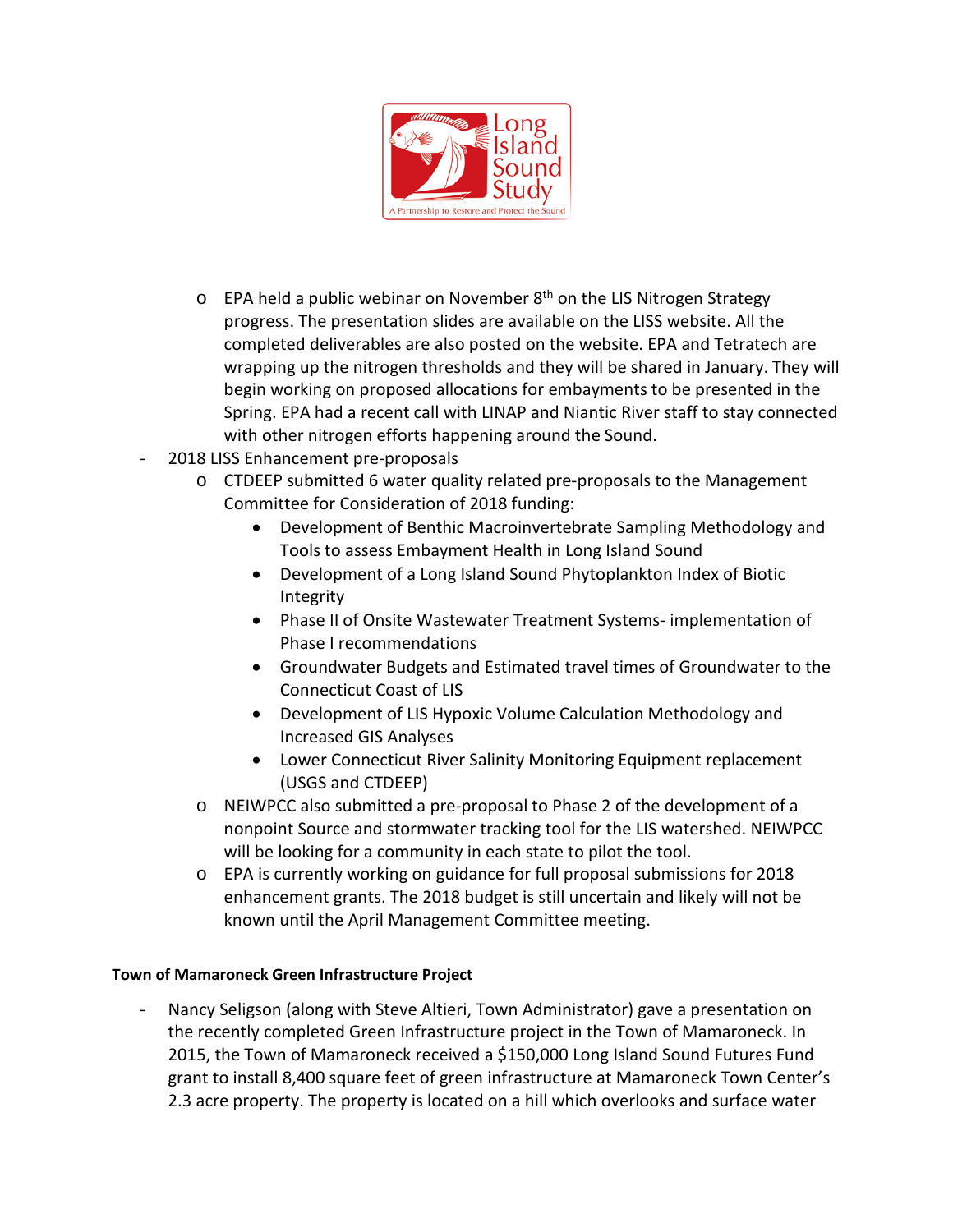

- $\circ$  EPA held a public webinar on November 8<sup>th</sup> on the LIS Nitrogen Strategy progress. The presentation slides are available on the LISS website. All the completed deliverables are also posted on the website. EPA and Tetratech are wrapping up the nitrogen thresholds and they will be shared in January. They will begin working on proposed allocations for embayments to be presented in the Spring. EPA had a recent call with LINAP and Niantic River staff to stay connected with other nitrogen efforts happening around the Sound.
- 2018 LISS Enhancement pre-proposals
	- $\circ$  CTDEEP submitted 6 water quality related pre-proposals to the Management Committee for Consideration of 2018 funding:
		- Development of Benthic Macroinvertebrate Sampling Methodology and Tools to assess Embayment Health in Long Island Sound
		- Development of a Long Island Sound Phytoplankton Index of Biotic Integrity
		- Phase II of Onsite Wastewater Treatment Systems- implementation of Phase I recommendations
		- Groundwater Budgets and Estimated travel times of Groundwater to the Connecticut Coast of LIS
		- Development of LIS Hypoxic Volume Calculation Methodology and Increased GIS Analyses
		- Lower Connecticut River Salinity Monitoring Equipment replacement (USGS and CTDEEP)
	- o NEIWPCC also submitted a pre-proposal to Phase 2 of the development of a nonpoint Source and stormwater tracking tool for the LIS watershed. NEIWPCC will be looking for a community in each state to pilot the tool.
	- o EPA is currently working on guidance for full proposal submissions for 2018 enhancement grants. The 2018 budget is still uncertain and likely will not be known until the April Management Committee meeting.

#### **Town of Mamaroneck Green Infrastructure Project**

Nancy Seligson (along with Steve Altieri, Town Administrator) gave a presentation on the recently completed Green Infrastructure project in the Town of Mamaroneck. In 2015, the Town of Mamaroneck received a \$150,000 Long Island Sound Futures Fund grant to install 8,400 square feet of green infrastructure at Mamaroneck Town Center's 2.3 acre property. The property is located on a hill which overlooks and surface water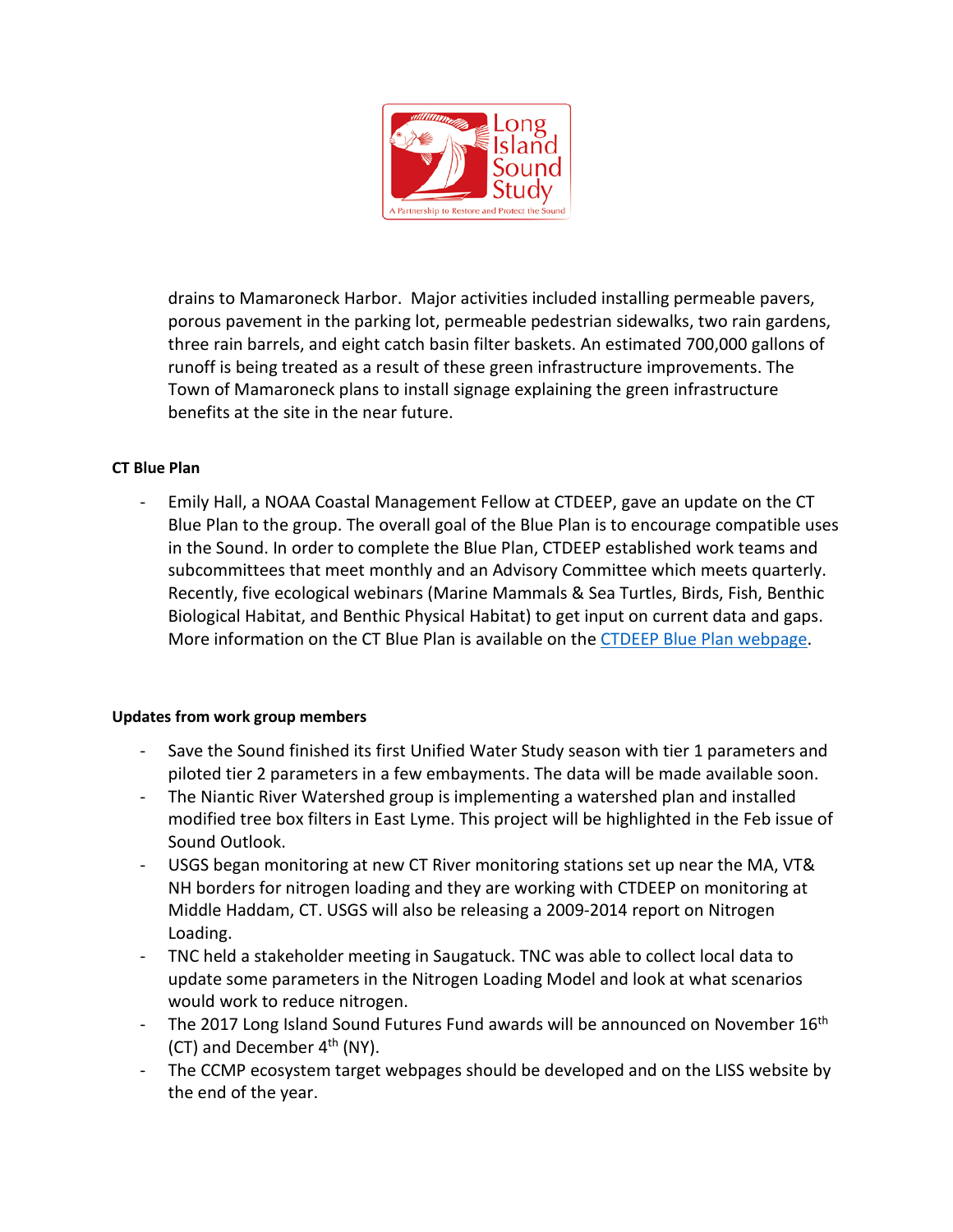

drains to Mamaroneck Harbor. Major activities included installing permeable pavers, porous pavement in the parking lot, permeable pedestrian sidewalks, two rain gardens, three rain barrels, and eight catch basin filter baskets. An estimated 700,000 gallons of runoff is being treated as a result of these green infrastructure improvements. The Town of Mamaroneck plans to install signage explaining the green infrastructure benefits at the site in the near future.

#### **CT Blue Plan**

- Emily Hall, a NOAA Coastal Management Fellow at CTDEEP, gave an update on the CT Blue Plan to the group. The overall goal of the Blue Plan is to encourage compatible uses in the Sound. In order to complete the Blue Plan, CTDEEP established work teams and subcommittees that meet monthly and an Advisory Committee which meets quarterly. Recently, five ecological webinars (Marine Mammals & Sea Turtles, Birds, Fish, Benthic Biological Habitat, and Benthic Physical Habitat) to get input on current data and gaps. More information on the CT Blue Plan is available on the [CTDEEP Blue Plan webpage.](http://www.ct.gov/deep/cwp/view.asp?a=2705&q=574290&deepNav_GID=1635)

#### **Updates from work group members**

- Save the Sound finished its first Unified Water Study season with tier 1 parameters and piloted tier 2 parameters in a few embayments. The data will be made available soon.
- The Niantic River Watershed group is implementing a watershed plan and installed modified tree box filters in East Lyme. This project will be highlighted in the Feb issue of Sound Outlook.
- USGS began monitoring at new CT River monitoring stations set up near the MA, VT& NH borders for nitrogen loading and they are working with CTDEEP on monitoring at Middle Haddam, CT. USGS will also be releasing a 2009-2014 report on Nitrogen Loading.
- TNC held a stakeholder meeting in Saugatuck. TNC was able to collect local data to update some parameters in the Nitrogen Loading Model and look at what scenarios would work to reduce nitrogen.
- The 2017 Long Island Sound Futures Fund awards will be announced on November 16<sup>th</sup> (CT) and December  $4<sup>th</sup>$  (NY).
- The CCMP ecosystem target webpages should be developed and on the LISS website by the end of the year.